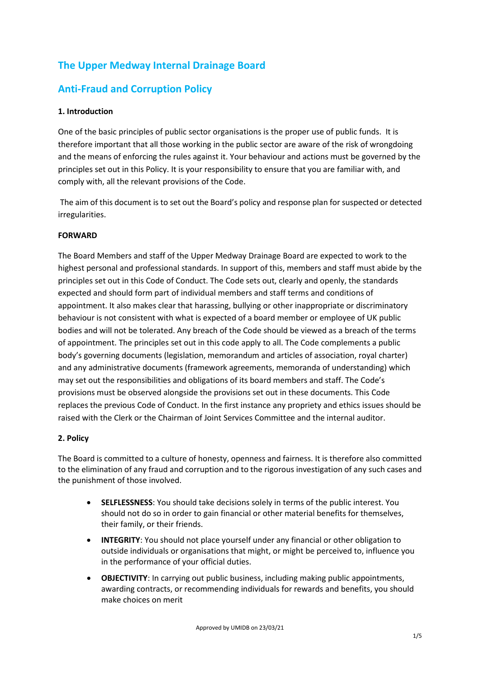# **The Upper Medway Internal Drainage Board**

# **Anti-Fraud and Corruption Policy**

## **1. Introduction**

One of the basic principles of public sector organisations is the proper use of public funds. It is therefore important that all those working in the public sector are aware of the risk of wrongdoing and the means of enforcing the rules against it. Your behaviour and actions must be governed by the principles set out in this Policy. It is your responsibility to ensure that you are familiar with, and comply with, all the relevant provisions of the Code.

The aim of this document is to set out the Board's policy and response plan for suspected or detected irregularities.

# **FORWARD**

The Board Members and staff of the Upper Medway Drainage Board are expected to work to the highest personal and professional standards. In support of this, members and staff must abide by the principles set out in this Code of Conduct. The Code sets out, clearly and openly, the standards expected and should form part of individual members and staff terms and conditions of appointment. It also makes clear that harassing, bullying or other inappropriate or discriminatory behaviour is not consistent with what is expected of a board member or employee of UK public bodies and will not be tolerated. Any breach of the Code should be viewed as a breach of the terms of appointment. The principles set out in this code apply to all. The Code complements a public body's governing documents (legislation, memorandum and articles of association, royal charter) and any administrative documents (framework agreements, memoranda of understanding) which may set out the responsibilities and obligations of its board members and staff. The Code's provisions must be observed alongside the provisions set out in these documents. This Code replaces the previous Code of Conduct. In the first instance any propriety and ethics issues should be raised with the Clerk or the Chairman of Joint Services Committee and the internal auditor.

## **2. Policy**

The Board is committed to a culture of honesty, openness and fairness. It is therefore also committed to the elimination of any fraud and corruption and to the rigorous investigation of any such cases and the punishment of those involved.

- **SELFLESSNESS**: You should take decisions solely in terms of the public interest. You should not do so in order to gain financial or other material benefits for themselves, their family, or their friends.
- **INTEGRITY**: You should not place yourself under any financial or other obligation to outside individuals or organisations that might, or might be perceived to, influence you in the performance of your official duties.
- **OBJECTIVITY**: In carrying out public business, including making public appointments, awarding contracts, or recommending individuals for rewards and benefits, you should make choices on merit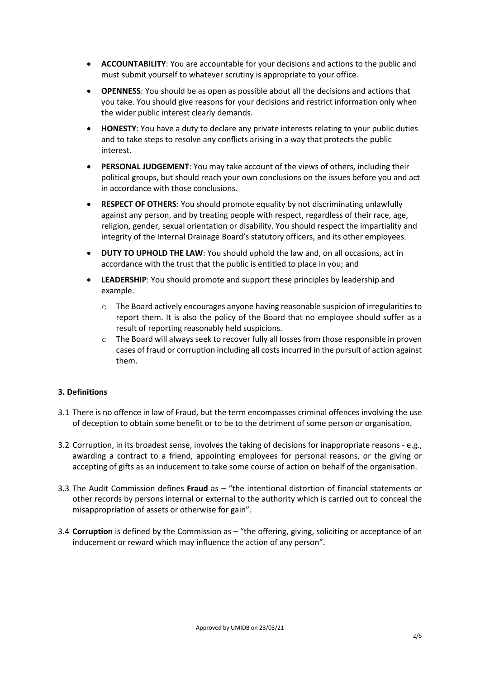- **ACCOUNTABILITY**: You are accountable for your decisions and actions to the public and must submit yourself to whatever scrutiny is appropriate to your office.
- **OPENNESS**: You should be as open as possible about all the decisions and actions that you take. You should give reasons for your decisions and restrict information only when the wider public interest clearly demands.
- **HONESTY**: You have a duty to declare any private interests relating to your public duties and to take steps to resolve any conflicts arising in a way that protects the public interest.
- **PERSONAL JUDGEMENT**: You may take account of the views of others, including their political groups, but should reach your own conclusions on the issues before you and act in accordance with those conclusions.
- **RESPECT OF OTHERS**: You should promote equality by not discriminating unlawfully against any person, and by treating people with respect, regardless of their race, age, religion, gender, sexual orientation or disability. You should respect the impartiality and integrity of the Internal Drainage Board's statutory officers, and its other employees.
- **DUTY TO UPHOLD THE LAW**: You should uphold the law and, on all occasions, act in accordance with the trust that the public is entitled to place in you; and
- **LEADERSHIP**: You should promote and support these principles by leadership and example.
	- o The Board actively encourages anyone having reasonable suspicion of irregularities to report them. It is also the policy of the Board that no employee should suffer as a result of reporting reasonably held suspicions.
	- o The Board will always seek to recover fully all losses from those responsible in proven cases of fraud or corruption including all costs incurred in the pursuit of action against them.

## **3. Definitions**

- 3.1 There is no offence in law of Fraud, but the term encompasses criminal offences involving the use of deception to obtain some benefit or to be to the detriment of some person or organisation.
- 3.2 Corruption, in its broadest sense, involves the taking of decisions for inappropriate reasons e.g., awarding a contract to a friend, appointing employees for personal reasons, or the giving or accepting of gifts as an inducement to take some course of action on behalf of the organisation.
- 3.3 The Audit Commission defines **Fraud** as "the intentional distortion of financial statements or other records by persons internal or external to the authority which is carried out to conceal the misappropriation of assets or otherwise for gain".
- 3.4 **Corruption** is defined by the Commission as "the offering, giving, soliciting or acceptance of an inducement or reward which may influence the action of any person".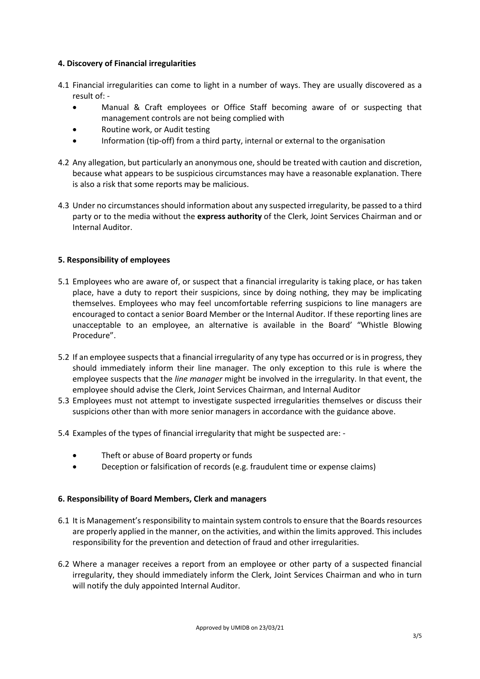#### **4. Discovery of Financial irregularities**

- 4.1 Financial irregularities can come to light in a number of ways. They are usually discovered as a result of: -
	- Manual & Craft employees or Office Staff becoming aware of or suspecting that management controls are not being complied with
	- Routine work, or Audit testing
	- Information (tip-off) from a third party, internal or external to the organisation
- 4.2 Any allegation, but particularly an anonymous one, should be treated with caution and discretion, because what appears to be suspicious circumstances may have a reasonable explanation. There is also a risk that some reports may be malicious.
- 4.3 Under no circumstances should information about any suspected irregularity, be passed to a third party or to the media without the **express authority** of the Clerk, Joint Services Chairman and or Internal Auditor.

## **5. Responsibility of employees**

- 5.1 Employees who are aware of, or suspect that a financial irregularity is taking place, or has taken place, have a duty to report their suspicions, since by doing nothing, they may be implicating themselves. Employees who may feel uncomfortable referring suspicions to line managers are encouraged to contact a senior Board Member or the Internal Auditor. If these reporting lines are unacceptable to an employee, an alternative is available in the Board' "Whistle Blowing Procedure".
- 5.2 If an employee suspects that a financial irregularity of any type has occurred or is in progress, they should immediately inform their line manager. The only exception to this rule is where the employee suspects that the *line manager* might be involved in the irregularity. In that event, the employee should advise the Clerk, Joint Services Chairman, and Internal Auditor
- 5.3 Employees must not attempt to investigate suspected irregularities themselves or discuss their suspicions other than with more senior managers in accordance with the guidance above.
- 5.4 Examples of the types of financial irregularity that might be suspected are:
	- Theft or abuse of Board property or funds
	- Deception or falsification of records (e.g. fraudulent time or expense claims)

## **6. Responsibility of Board Members, Clerk and managers**

- 6.1 It is Management's responsibility to maintain system controls to ensure that the Boards resources are properly applied in the manner, on the activities, and within the limits approved. This includes responsibility for the prevention and detection of fraud and other irregularities.
- 6.2 Where a manager receives a report from an employee or other party of a suspected financial irregularity, they should immediately inform the Clerk, Joint Services Chairman and who in turn will notify the duly appointed Internal Auditor.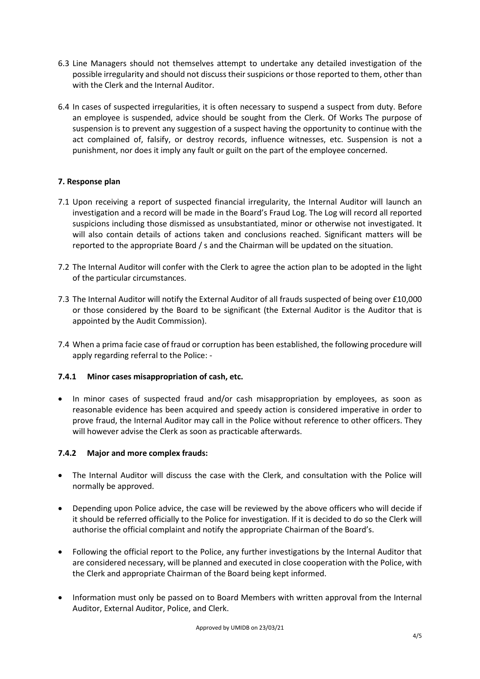- 6.3 Line Managers should not themselves attempt to undertake any detailed investigation of the possible irregularity and should not discuss their suspicions or those reported to them, other than with the Clerk and the Internal Auditor.
- 6.4 In cases of suspected irregularities, it is often necessary to suspend a suspect from duty. Before an employee is suspended, advice should be sought from the Clerk. Of Works The purpose of suspension is to prevent any suggestion of a suspect having the opportunity to continue with the act complained of, falsify, or destroy records, influence witnesses, etc. Suspension is not a punishment, nor does it imply any fault or guilt on the part of the employee concerned.

# **7. Response plan**

- 7.1 Upon receiving a report of suspected financial irregularity, the Internal Auditor will launch an investigation and a record will be made in the Board's Fraud Log. The Log will record all reported suspicions including those dismissed as unsubstantiated, minor or otherwise not investigated. It will also contain details of actions taken and conclusions reached. Significant matters will be reported to the appropriate Board / s and the Chairman will be updated on the situation.
- 7.2 The Internal Auditor will confer with the Clerk to agree the action plan to be adopted in the light of the particular circumstances.
- 7.3 The Internal Auditor will notify the External Auditor of all frauds suspected of being over £10,000 or those considered by the Board to be significant (the External Auditor is the Auditor that is appointed by the Audit Commission).
- 7.4 When a prima facie case of fraud or corruption has been established, the following procedure will apply regarding referral to the Police: -

## **7.4.1 Minor cases misappropriation of cash, etc.**

• In minor cases of suspected fraud and/or cash misappropriation by employees, as soon as reasonable evidence has been acquired and speedy action is considered imperative in order to prove fraud, the Internal Auditor may call in the Police without reference to other officers. They will however advise the Clerk as soon as practicable afterwards.

## **7.4.2 Major and more complex frauds:**

- The Internal Auditor will discuss the case with the Clerk, and consultation with the Police will normally be approved.
- Depending upon Police advice, the case will be reviewed by the above officers who will decide if it should be referred officially to the Police for investigation. If it is decided to do so the Clerk will authorise the official complaint and notify the appropriate Chairman of the Board's.
- Following the official report to the Police, any further investigations by the Internal Auditor that are considered necessary, will be planned and executed in close cooperation with the Police, with the Clerk and appropriate Chairman of the Board being kept informed.
- Information must only be passed on to Board Members with written approval from the Internal Auditor, External Auditor, Police, and Clerk.